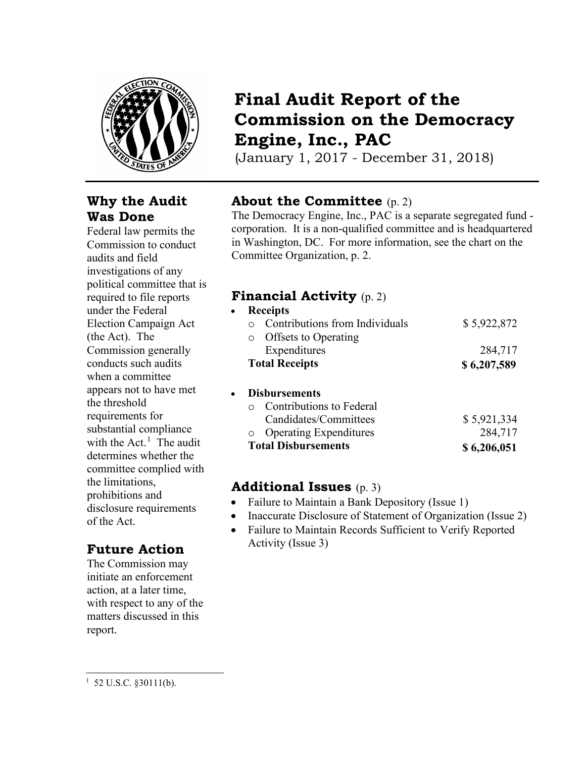

## **Why the Audit Was Done**

Federal law permits the Commission to conduct audits and field investigations of any political committee that is required to file reports under the Federal Election Campaign Act (the Act). The Commission generally conducts such audits when a committee appears not to have met the threshold requirements for substantial compliance with the  $Act.$ <sup>[1](#page-0-0)</sup> The audit determines whether the committee complied with the limitations, prohibitions and disclosure requirements of the Act.

# **Future Action**

The Commission may initiate an enforcement action, at a later time, with respect to any of the matters discussed in this report.

# **Final Audit Report of the Commission on the Democracy Engine, Inc., PAC**

(January 1, 2017 - December 31, 2018)

# **About the Committee** (p. 2)

The Democracy Engine, Inc., PAC is a separate segregated fund corporation. It is a non-qualified committee and is headquartered in Washington, DC. For more information, see the chart on the Committee Organization, p. 2.

## **Financial Activity** (p. 2)

| $\bullet$ | <b>Receipts</b>                |             |  |
|-----------|--------------------------------|-------------|--|
|           | Contributions from Individuals | \$5,922,872 |  |
| $\circ$   | Offsets to Operating           |             |  |
|           | Expenditures                   | 284,717     |  |
|           | <b>Total Receipts</b>          | \$6,207,589 |  |
| $\bullet$ | <b>Disbursements</b>           |             |  |
|           | Contributions to Federal       |             |  |
|           | Candidates/Committees          | \$5,921,334 |  |

| <b>Total Disbursements</b> | \$6,206,051 |
|----------------------------|-------------|
| o Operating Expenditures   | 284,717     |

## **Additional Issues** (p. 3)

- Failure to Maintain a Bank Depository (Issue 1)
- Inaccurate Disclosure of Statement of Organization (Issue 2)
- Failure to Maintain Records Sufficient to Verify Reported Activity (Issue 3)

<span id="page-0-0"></span> $1\,$  52 U.S.C. §30111(b).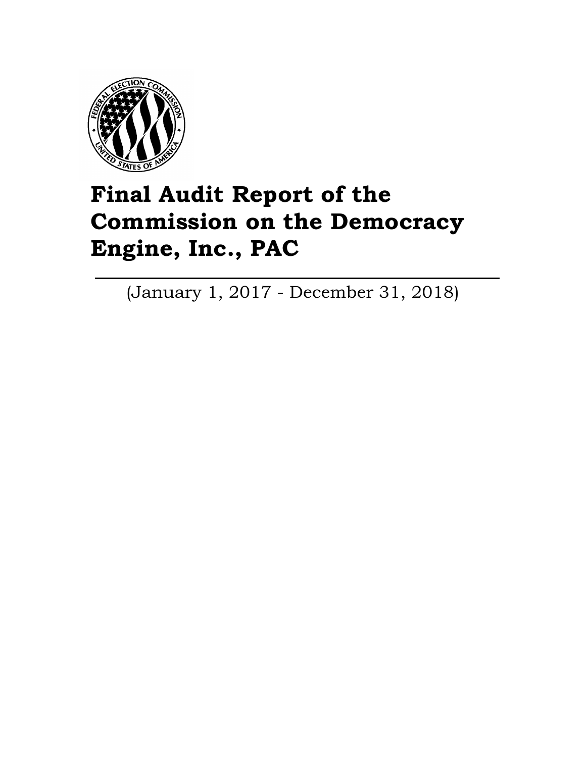

# **Final Audit Report of the Commission on the Democracy Engine, Inc., PAC**

(January 1, 2017 - December 31, 2018)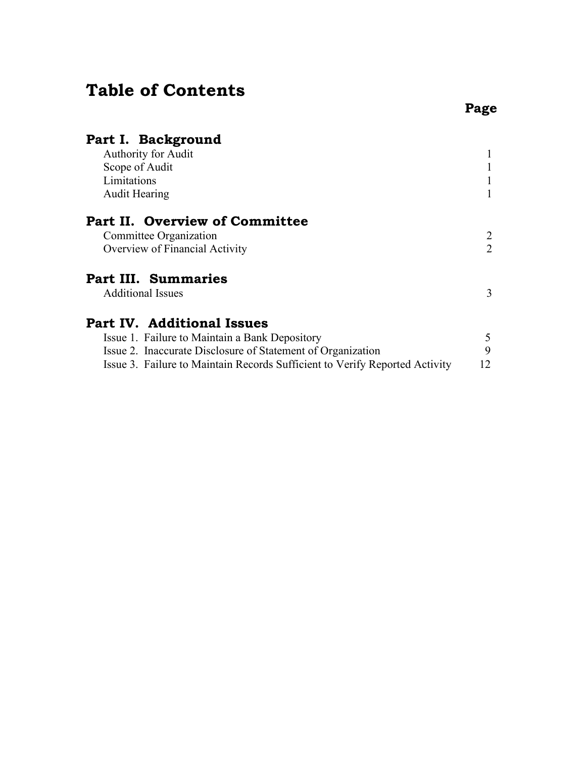# **Table of Contents**

| Part I. Background<br>Authority for Audit<br>Scope of Audit<br>Limitations<br><b>Audit Hearing</b>                                                                                                                                |              |
|-----------------------------------------------------------------------------------------------------------------------------------------------------------------------------------------------------------------------------------|--------------|
| <b>Part II. Overview of Committee</b><br>Committee Organization<br>Overview of Financial Activity                                                                                                                                 | 2<br>2       |
| <b>Part III. Summaries</b><br><b>Additional Issues</b>                                                                                                                                                                            | 3            |
| <b>Part IV. Additional Issues</b><br>Issue 1. Failure to Maintain a Bank Depository<br>Issue 2. Inaccurate Disclosure of Statement of Organization<br>Issue 3. Failure to Maintain Records Sufficient to Verify Reported Activity | 5<br>9<br>12 |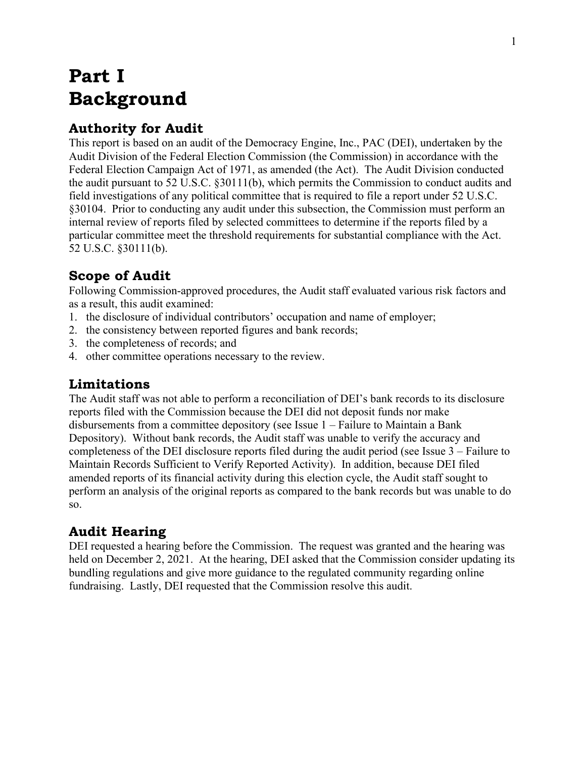# **Part I Background**

# **Authority for Audit**

This report is based on an audit of the Democracy Engine, Inc., PAC (DEI), undertaken by the Audit Division of the Federal Election Commission (the Commission) in accordance with the Federal Election Campaign Act of 1971, as amended (the Act). The Audit Division conducted the audit pursuant to 52 U.S.C. §30111(b), which permits the Commission to conduct audits and field investigations of any political committee that is required to file a report under 52 U.S.C. §30104. Prior to conducting any audit under this subsection, the Commission must perform an internal review of reports filed by selected committees to determine if the reports filed by a particular committee meet the threshold requirements for substantial compliance with the Act. 52 U.S.C. §30111(b).

# **Scope of Audit**

Following Commission-approved procedures, the Audit staff evaluated various risk factors and as a result, this audit examined:

- 1. the disclosure of individual contributors' occupation and name of employer;
- 2. the consistency between reported figures and bank records;
- 3. the completeness of records; and
- 4. other committee operations necessary to the review.

# **Limitations**

The Audit staff was not able to perform a reconciliation of DEI's bank records to its disclosure reports filed with the Commission because the DEI did not deposit funds nor make disbursements from a committee depository (see Issue 1 – Failure to Maintain a Bank Depository). Without bank records, the Audit staff was unable to verify the accuracy and completeness of the DEI disclosure reports filed during the audit period (see Issue 3 – Failure to Maintain Records Sufficient to Verify Reported Activity). In addition, because DEI filed amended reports of its financial activity during this election cycle, the Audit staff sought to perform an analysis of the original reports as compared to the bank records but was unable to do so.

# **Audit Hearing**

DEI requested a hearing before the Commission. The request was granted and the hearing was held on December 2, 2021. At the hearing, DEI asked that the Commission consider updating its bundling regulations and give more guidance to the regulated community regarding online fundraising. Lastly, DEI requested that the Commission resolve this audit.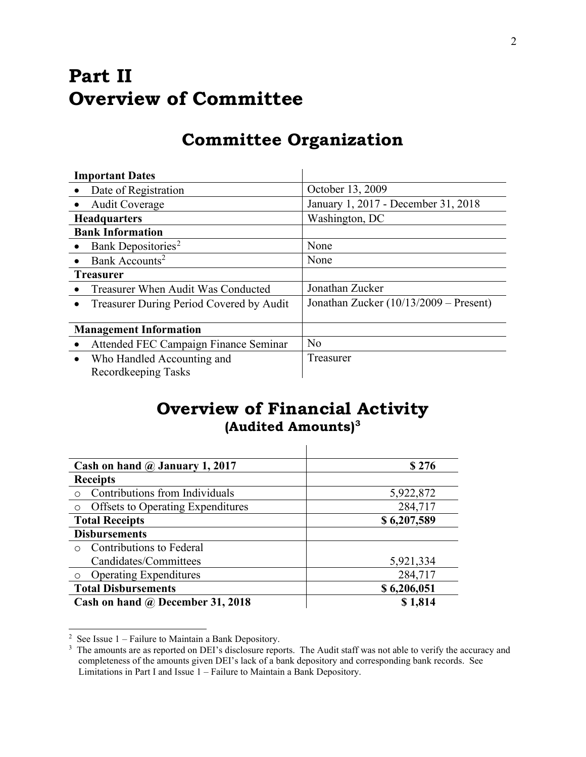# **Part II Overview of Committee**

# **Committee Organization**

|           | <b>Important Dates</b>                   |                                        |  |
|-----------|------------------------------------------|----------------------------------------|--|
|           | Date of Registration                     | October 13, 2009                       |  |
|           | <b>Audit Coverage</b>                    | January 1, 2017 - December 31, 2018    |  |
|           | <b>Headquarters</b>                      | Washington, DC                         |  |
|           | <b>Bank Information</b>                  |                                        |  |
| $\bullet$ | Bank Depositories <sup>2</sup>           | None                                   |  |
|           | Bank Accounts <sup>2</sup>               | None                                   |  |
|           | <b>Treasurer</b>                         |                                        |  |
|           | Treasurer When Audit Was Conducted       | Jonathan Zucker                        |  |
| $\bullet$ | Treasurer During Period Covered by Audit | Jonathan Zucker (10/13/2009 - Present) |  |
|           |                                          |                                        |  |
|           | <b>Management Information</b>            |                                        |  |
|           | Attended FEC Campaign Finance Seminar    | No                                     |  |
| $\bullet$ | Who Handled Accounting and               | Treasurer                              |  |
|           | Recordkeeping Tasks                      |                                        |  |

# **Overview of Financial Activity (Audited Amounts)[3](#page-4-0)**

| Cash on hand $\omega$ January 1, 2017    | \$276       |
|------------------------------------------|-------------|
| <b>Receipts</b>                          |             |
| Contributions from Individuals           | 5,922,872   |
| <b>Offsets to Operating Expenditures</b> | 284,717     |
| <b>Total Receipts</b>                    | \$6,207,589 |
| <b>Disbursements</b>                     |             |
| Contributions to Federal<br>$\bigcap$    |             |
| Candidates/Committees                    | 5,921,334   |
| <b>Operating Expenditures</b>            | 284,717     |
| <b>Total Disbursements</b>               | \$6,206,051 |
| Cash on hand @ December 31, 2018         | \$1,814     |

<span id="page-4-1"></span><sup>&</sup>lt;sup>2</sup> See Issue  $1$  – Failure to Maintain a Bank Depository.

<span id="page-4-0"></span><sup>&</sup>lt;sup>3</sup> The amounts are as reported on DEI's disclosure reports. The Audit staff was not able to verify the accuracy and completeness of the amounts given DEI's lack of a bank depository and corresponding bank records. See Limitations in Part I and Issue 1 – Failure to Maintain a Bank Depository.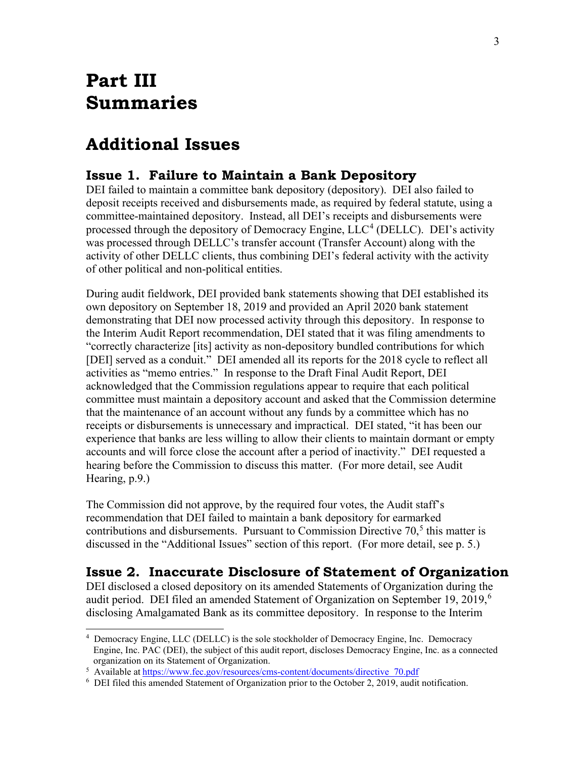# **Part III Summaries**

# **Additional Issues**

## **Issue 1. Failure to Maintain a Bank Depository**

DEI failed to maintain a committee bank depository (depository). DEI also failed to deposit receipts received and disbursements made, as required by federal statute, using a committee-maintained depository. Instead, all DEI's receipts and disbursements were processed through the depository of Democracy Engine,  $LLC<sup>4</sup>$  $LLC<sup>4</sup>$  $LLC<sup>4</sup>$  (DELLC). DEI's activity was processed through DELLC's transfer account (Transfer Account) along with the activity of other DELLC clients, thus combining DEI's federal activity with the activity of other political and non-political entities.

During audit fieldwork, DEI provided bank statements showing that DEI established its own depository on September 18, 2019 and provided an April 2020 bank statement demonstrating that DEI now processed activity through this depository. In response to the Interim Audit Report recommendation, DEI stated that it was filing amendments to "correctly characterize [its] activity as non-depository bundled contributions for which [DEI] served as a conduit." DEI amended all its reports for the 2018 cycle to reflect all activities as "memo entries." In response to the Draft Final Audit Report, DEI acknowledged that the Commission regulations appear to require that each political committee must maintain a depository account and asked that the Commission determine that the maintenance of an account without any funds by a committee which has no receipts or disbursements is unnecessary and impractical. DEI stated, "it has been our experience that banks are less willing to allow their clients to maintain dormant or empty accounts and will force close the account after a period of inactivity." DEI requested a hearing before the Commission to discuss this matter. (For more detail, see Audit Hearing, p.9.)

The Commission did not approve, by the required four votes, the Audit staff's recommendation that DEI failed to maintain a bank depository for earmarked contributions and disbursements. Pursuant to Commission Directive  $70<sup>5</sup>$  $70<sup>5</sup>$  $70<sup>5</sup>$  this matter is discussed in the "Additional Issues" section of this report. (For more detail, see p. 5.)

## **Issue 2. Inaccurate Disclosure of Statement of Organization**

DEI disclosed a closed depository on its amended Statements of Organization during the audit period. DEI filed an amended Statement of Organization on September 19, 2019,<sup>[6](#page-5-2)</sup> disclosing Amalgamated Bank as its committee depository. In response to the Interim

<span id="page-5-0"></span><sup>4</sup> Democracy Engine, LLC (DELLC) is the sole stockholder of Democracy Engine, Inc. Democracy Engine, Inc. PAC (DEI), the subject of this audit report, discloses Democracy Engine, Inc. as a connected organization on its Statement of Organization.

<span id="page-5-1"></span><sup>&</sup>lt;sup>5</sup> Available at <u>https://www.fec.gov/resources/cms-content/documents/directive\_70.pdf</u>  $6\text{ }$  DEI filed this amended Statement of Organization prior to the October 2, 2019, and it

<span id="page-5-2"></span> $6$  DEI filed this amended Statement of Organization prior to the October 2, 2019, audit notification.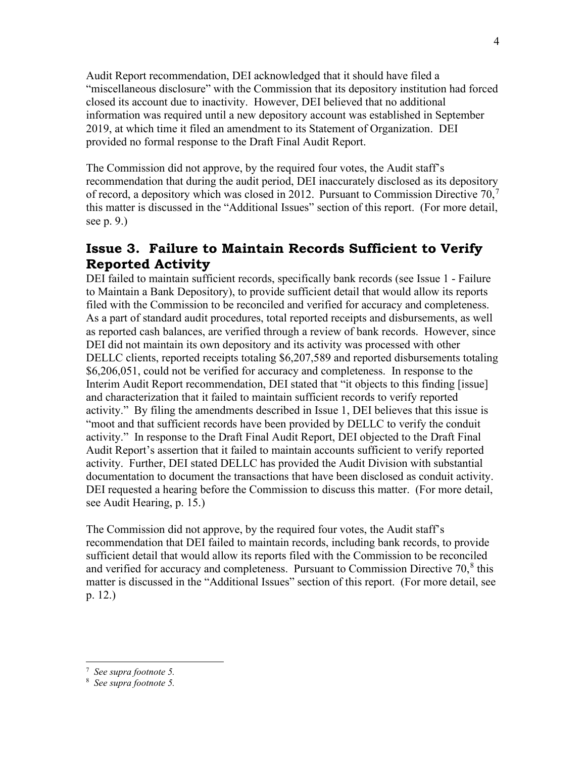Audit Report recommendation, DEI acknowledged that it should have filed a "miscellaneous disclosure" with the Commission that its depository institution had forced closed its account due to inactivity. However, DEI believed that no additional information was required until a new depository account was established in September 2019, at which time it filed an amendment to its Statement of Organization. DEI provided no formal response to the Draft Final Audit Report.

The Commission did not approve, by the required four votes, the Audit staff's recommendation that during the audit period, DEI inaccurately disclosed as its depository of record, a depository which was closed in 2012. Pursuant to Commission Directive  $70<sup>7</sup>$  $70<sup>7</sup>$ this matter is discussed in the "Additional Issues" section of this report. (For more detail, see p. 9.)

## **Issue 3. Failure to Maintain Records Sufficient to Verify Reported Activity**

DEI failed to maintain sufficient records, specifically bank records (see Issue 1 - Failure to Maintain a Bank Depository), to provide sufficient detail that would allow its reports filed with the Commission to be reconciled and verified for accuracy and completeness. As a part of standard audit procedures, total reported receipts and disbursements, as well as reported cash balances, are verified through a review of bank records. However, since DEI did not maintain its own depository and its activity was processed with other DELLC clients, reported receipts totaling \$6,207,589 and reported disbursements totaling \$6,206,051, could not be verified for accuracy and completeness. In response to the Interim Audit Report recommendation, DEI stated that "it objects to this finding [issue] and characterization that it failed to maintain sufficient records to verify reported activity." By filing the amendments described in Issue 1, DEI believes that this issue is "moot and that sufficient records have been provided by DELLC to verify the conduit activity." In response to the Draft Final Audit Report, DEI objected to the Draft Final Audit Report's assertion that it failed to maintain accounts sufficient to verify reported activity. Further, DEI stated DELLC has provided the Audit Division with substantial documentation to document the transactions that have been disclosed as conduit activity. DEI requested a hearing before the Commission to discuss this matter. (For more detail, see Audit Hearing, p. 15.)

The Commission did not approve, by the required four votes, the Audit staff's recommendation that DEI failed to maintain records, including bank records, to provide sufficient detail that would allow its reports filed with the Commission to be reconciled and verified for accuracy and completeness. Pursuant to Commission Directive  $70<sup>8</sup>$  $70<sup>8</sup>$  $70<sup>8</sup>$  this matter is discussed in the "Additional Issues" section of this report. (For more detail, see p. 12.)

<span id="page-6-0"></span><sup>7</sup> *See supra footnote 5.*

<span id="page-6-1"></span><sup>8</sup> *See supra footnote 5.*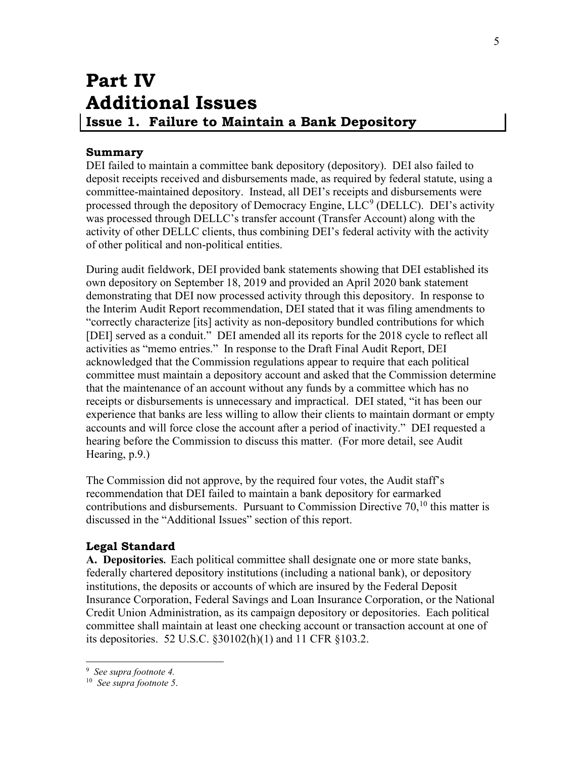# **Part IV Additional Issues Issue 1. Failure to Maintain a Bank Depository**

## <span id="page-7-0"></span>**Summary**

DEI failed to maintain a committee bank depository (depository). DEI also failed to deposit receipts received and disbursements made, as required by federal statute, using a committee-maintained depository. Instead, all DEI's receipts and disbursements were processed through the depository of Democracy Engine,  $LLC<sup>9</sup>$  $LLC<sup>9</sup>$  $LLC<sup>9</sup>$  (DELLC). DEI's activity was processed through DELLC's transfer account (Transfer Account) along with the activity of other DELLC clients, thus combining DEI's federal activity with the activity of other political and non-political entities.

During audit fieldwork, DEI provided bank statements showing that DEI established its own depository on September 18, 2019 and provided an April 2020 bank statement demonstrating that DEI now processed activity through this depository. In response to the Interim Audit Report recommendation, DEI stated that it was filing amendments to "correctly characterize [its] activity as non-depository bundled contributions for which [DEI] served as a conduit." DEI amended all its reports for the 2018 cycle to reflect all activities as "memo entries." In response to the Draft Final Audit Report, DEI acknowledged that the Commission regulations appear to require that each political committee must maintain a depository account and asked that the Commission determine that the maintenance of an account without any funds by a committee which has no receipts or disbursements is unnecessary and impractical. DEI stated, "it has been our experience that banks are less willing to allow their clients to maintain dormant or empty accounts and will force close the account after a period of inactivity." DEI requested a hearing before the Commission to discuss this matter. (For more detail, see Audit Hearing, p.9.)

The Commission did not approve, by the required four votes, the Audit staff's recommendation that DEI failed to maintain a bank depository for earmarked contributions and disbursements. Pursuant to Commission Directive  $70<sup>10</sup>$  $70<sup>10</sup>$  $70<sup>10</sup>$  this matter is discussed in the "Additional Issues" section of this report.

## **Legal Standard**

**A. Depositories.** Each political committee shall designate one or more state banks, federally chartered depository institutions (including a national bank), or depository institutions, the deposits or accounts of which are insured by the Federal Deposit Insurance Corporation, Federal Savings and Loan Insurance Corporation, or the National Credit Union Administration, as its campaign depository or depositories. Each political committee shall maintain at least one checking account or transaction account at one of its depositories. 52 U.S.C. §30102(h)(1) and 11 CFR §103.2.

<sup>9</sup> *See supra footnote 4.* 

<span id="page-7-2"></span><span id="page-7-1"></span><sup>10</sup> *See supra footnote 5*.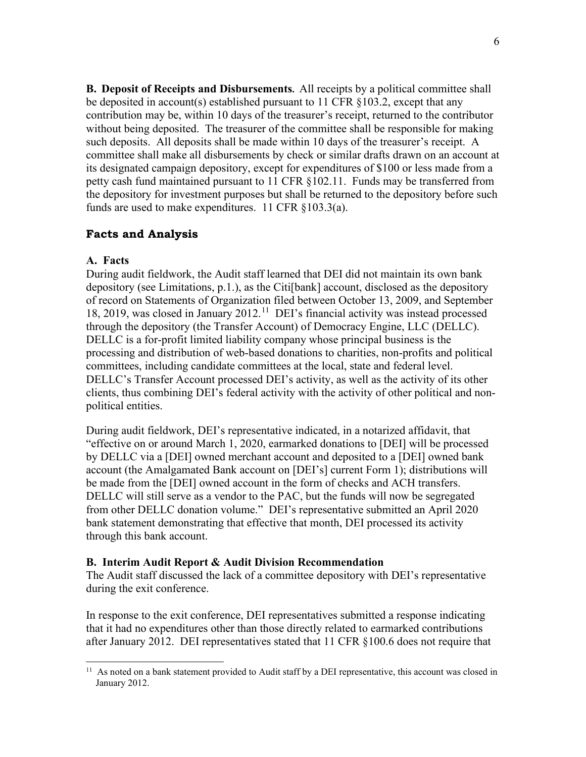**B. Deposit of Receipts and Disbursements.** All receipts by a political committee shall be deposited in account(s) established pursuant to 11 CFR §103.2, except that any contribution may be, within 10 days of the treasurer's receipt, returned to the contributor without being deposited. The treasurer of the committee shall be responsible for making such deposits. All deposits shall be made within 10 days of the treasurer's receipt. A committee shall make all disbursements by check or similar drafts drawn on an account at its designated campaign depository, except for expenditures of \$100 or less made from a petty cash fund maintained pursuant to 11 CFR §102.11. Funds may be transferred from the depository for investment purposes but shall be returned to the depository before such funds are used to make expenditures. 11 CFR §103.3(a).

### **Facts and Analysis**

#### **A. Facts**

During audit fieldwork, the Audit staff learned that DEI did not maintain its own bank depository (see Limitations, p.1.), as the Citi[bank] account, disclosed as the depository of record on Statements of Organization filed between October 13, 2009, and September 18, 2019, was closed in January 2012.<sup>11</sup> DEI's financial activity was instead processed through the depository (the Transfer Account) of Democracy Engine, LLC (DELLC). DELLC is a for-profit limited liability company whose principal business is the processing and distribution of web-based donations to charities, non-profits and political committees, including candidate committees at the local, state and federal level. DELLC's Transfer Account processed DEI's activity, as well as the activity of its other clients, thus combining DEI's federal activity with the activity of other political and nonpolitical entities.

During audit fieldwork, DEI's representative indicated, in a notarized affidavit, that "effective on or around March 1, 2020, earmarked donations to [DEI] will be processed by DELLC via a [DEI] owned merchant account and deposited to a [DEI] owned bank account (the Amalgamated Bank account on [DEI's] current Form 1); distributions will be made from the [DEI] owned account in the form of checks and ACH transfers. DELLC will still serve as a vendor to the PAC, but the funds will now be segregated from other DELLC donation volume." DEI's representative submitted an April 2020 bank statement demonstrating that effective that month, DEI processed its activity through this bank account.

#### **B. Interim Audit Report & Audit Division Recommendation**

The Audit staff discussed the lack of a committee depository with DEI's representative during the exit conference.

In response to the exit conference, DEI representatives submitted a response indicating that it had no expenditures other than those directly related to earmarked contributions after January 2012. DEI representatives stated that 11 CFR §100.6 does not require that

<span id="page-8-0"></span><sup>&</sup>lt;sup>11</sup> As noted on a bank statement provided to Audit staff by a DEI representative, this account was closed in January 2012.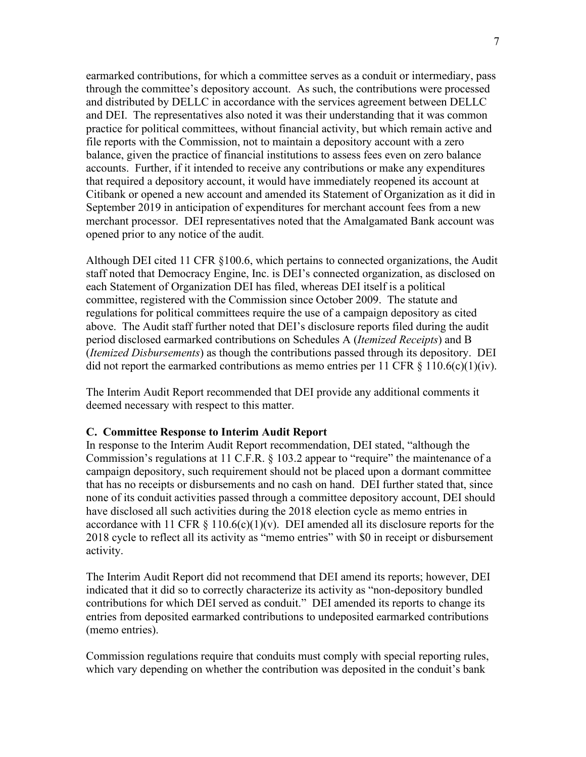earmarked contributions, for which a committee serves as a conduit or intermediary, pass through the committee's depository account. As such, the contributions were processed and distributed by DELLC in accordance with the services agreement between DELLC and DEI. The representatives also noted it was their understanding that it was common practice for political committees, without financial activity, but which remain active and file reports with the Commission, not to maintain a depository account with a zero balance, given the practice of financial institutions to assess fees even on zero balance accounts. Further, if it intended to receive any contributions or make any expenditures that required a depository account, it would have immediately reopened its account at Citibank or opened a new account and amended its Statement of Organization as it did in September 2019 in anticipation of expenditures for merchant account fees from a new merchant processor. DEI representatives noted that the Amalgamated Bank account was opened prior to any notice of the audit.

Although DEI cited 11 CFR §100.6, which pertains to connected organizations, the Audit staff noted that Democracy Engine, Inc. is DEI's connected organization, as disclosed on each Statement of Organization DEI has filed, whereas DEI itself is a political committee, registered with the Commission since October 2009. The statute and regulations for political committees require the use of a campaign depository as cited above. The Audit staff further noted that DEI's disclosure reports filed during the audit period disclosed earmarked contributions on Schedules A (*Itemized Receipts*) and B (*Itemized Disbursements*) as though the contributions passed through its depository. DEI did not report the earmarked contributions as memo entries per 11 CFR  $\S$  110.6(c)(1)(iv).

The Interim Audit Report recommended that DEI provide any additional comments it deemed necessary with respect to this matter.

#### **C. Committee Response to Interim Audit Report**

In response to the Interim Audit Report recommendation, DEI stated, "although the Commission's regulations at 11 C.F.R. § 103.2 appear to "require" the maintenance of a campaign depository, such requirement should not be placed upon a dormant committee that has no receipts or disbursements and no cash on hand. DEI further stated that, since none of its conduit activities passed through a committee depository account, DEI should have disclosed all such activities during the 2018 election cycle as memo entries in accordance with 11 CFR  $\S$  110.6(c)(1)(v). DEI amended all its disclosure reports for the 2018 cycle to reflect all its activity as "memo entries" with \$0 in receipt or disbursement activity.

The Interim Audit Report did not recommend that DEI amend its reports; however, DEI indicated that it did so to correctly characterize its activity as "non-depository bundled contributions for which DEI served as conduit." DEI amended its reports to change its entries from deposited earmarked contributions to undeposited earmarked contributions (memo entries).

Commission regulations require that conduits must comply with special reporting rules, which vary depending on whether the contribution was deposited in the conduit's bank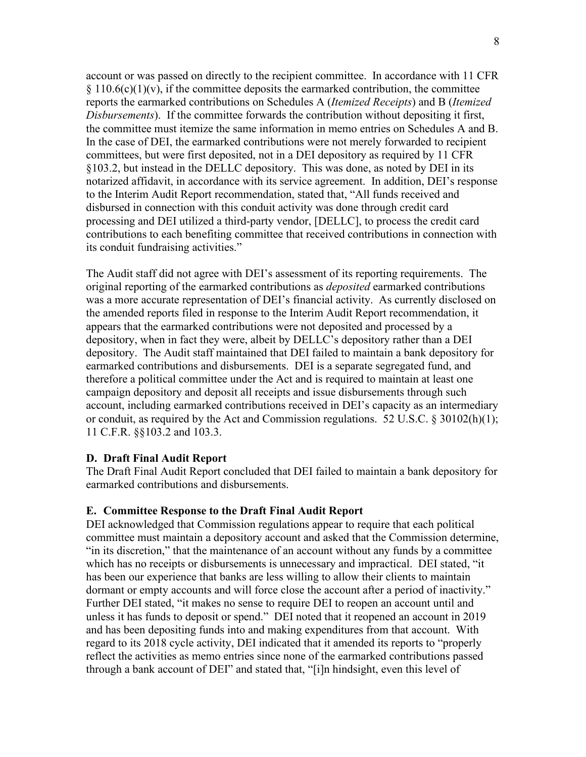account or was passed on directly to the recipient committee. In accordance with 11 CFR  $§$  110.6(c)(1)(v), if the committee deposits the earmarked contribution, the committee reports the earmarked contributions on Schedules A (*Itemized Receipts*) and B (*Itemized Disbursements*). If the committee forwards the contribution without depositing it first, the committee must itemize the same information in memo entries on Schedules A and B. In the case of DEI, the earmarked contributions were not merely forwarded to recipient committees, but were first deposited, not in a DEI depository as required by 11 CFR §103.2, but instead in the DELLC depository. This was done, as noted by DEI in its notarized affidavit, in accordance with its service agreement. In addition, DEI's response to the Interim Audit Report recommendation, stated that, "All funds received and disbursed in connection with this conduit activity was done through credit card processing and DEI utilized a third-party vendor, [DELLC], to process the credit card contributions to each benefiting committee that received contributions in connection with its conduit fundraising activities."

The Audit staff did not agree with DEI's assessment of its reporting requirements. The original reporting of the earmarked contributions as *deposited* earmarked contributions was a more accurate representation of DEI's financial activity. As currently disclosed on the amended reports filed in response to the Interim Audit Report recommendation, it appears that the earmarked contributions were not deposited and processed by a depository, when in fact they were, albeit by DELLC's depository rather than a DEI depository. The Audit staff maintained that DEI failed to maintain a bank depository for earmarked contributions and disbursements. DEI is a separate segregated fund, and therefore a political committee under the Act and is required to maintain at least one campaign depository and deposit all receipts and issue disbursements through such account, including earmarked contributions received in DEI's capacity as an intermediary or conduit, as required by the Act and Commission regulations. 52 U.S.C. § 30102(h)(1); 11 C.F.R. §§103.2 and 103.3.

#### **D. Draft Final Audit Report**

The Draft Final Audit Report concluded that DEI failed to maintain a bank depository for earmarked contributions and disbursements.

#### **E. Committee Response to the Draft Final Audit Report**

DEI acknowledged that Commission regulations appear to require that each political committee must maintain a depository account and asked that the Commission determine, "in its discretion," that the maintenance of an account without any funds by a committee which has no receipts or disbursements is unnecessary and impractical. DEI stated, "it has been our experience that banks are less willing to allow their clients to maintain dormant or empty accounts and will force close the account after a period of inactivity." Further DEI stated, "it makes no sense to require DEI to reopen an account until and unless it has funds to deposit or spend." DEI noted that it reopened an account in 2019 and has been depositing funds into and making expenditures from that account. With regard to its 2018 cycle activity, DEI indicated that it amended its reports to "properly reflect the activities as memo entries since none of the earmarked contributions passed through a bank account of DEI" and stated that, "[i]n hindsight, even this level of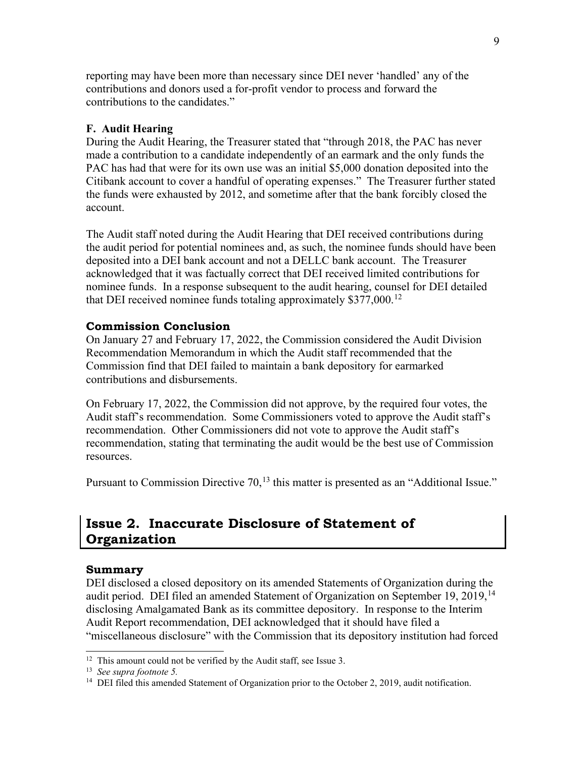reporting may have been more than necessary since DEI never 'handled' any of the contributions and donors used a for-profit vendor to process and forward the contributions to the candidates."

#### **F. Audit Hearing**

During the Audit Hearing, the Treasurer stated that "through 2018, the PAC has never made a contribution to a candidate independently of an earmark and the only funds the PAC has had that were for its own use was an initial \$5,000 donation deposited into the Citibank account to cover a handful of operating expenses." The Treasurer further stated the funds were exhausted by 2012, and sometime after that the bank forcibly closed the account.

The Audit staff noted during the Audit Hearing that DEI received contributions during the audit period for potential nominees and, as such, the nominee funds should have been deposited into a DEI bank account and not a DELLC bank account. The Treasurer acknowledged that it was factually correct that DEI received limited contributions for nominee funds. In a response subsequent to the audit hearing, counsel for DEI detailed that DEI received nominee funds totaling approximately \$377,000.<sup>[12](#page-11-1)</sup>

#### **Commission Conclusion**

On January 27 and February 17, 2022, the Commission considered the Audit Division Recommendation Memorandum in which the Audit staff recommended that the Commission find that DEI failed to maintain a bank depository for earmarked contributions and disbursements.

On February 17, 2022, the Commission did not approve, by the required four votes, the Audit staff's recommendation. Some Commissioners voted to approve the Audit staff's recommendation. Other Commissioners did not vote to approve the Audit staff's recommendation, stating that terminating the audit would be the best use of Commission resources.

Pursuant to Commission Directive 70,<sup>[13](#page-11-2)</sup> this matter is presented as an "Additional Issue."

## <span id="page-11-0"></span>**Issue 2. Inaccurate Disclosure of Statement of Organization**

#### **Summary**

DEI disclosed a closed depository on its amended Statements of Organization during the audit period. DEI filed an amended Statement of Organization on September 19, 2019,  $14$ disclosing Amalgamated Bank as its committee depository. In response to the Interim Audit Report recommendation, DEI acknowledged that it should have filed a "miscellaneous disclosure" with the Commission that its depository institution had forced

<span id="page-11-1"></span> $12$  This amount could not be verified by the Audit staff, see Issue 3.

<span id="page-11-3"></span><span id="page-11-2"></span><sup>13</sup> *See supra footnote 5.*

<sup>&</sup>lt;sup>14</sup> DEI filed this amended Statement of Organization prior to the October 2, 2019, audit notification.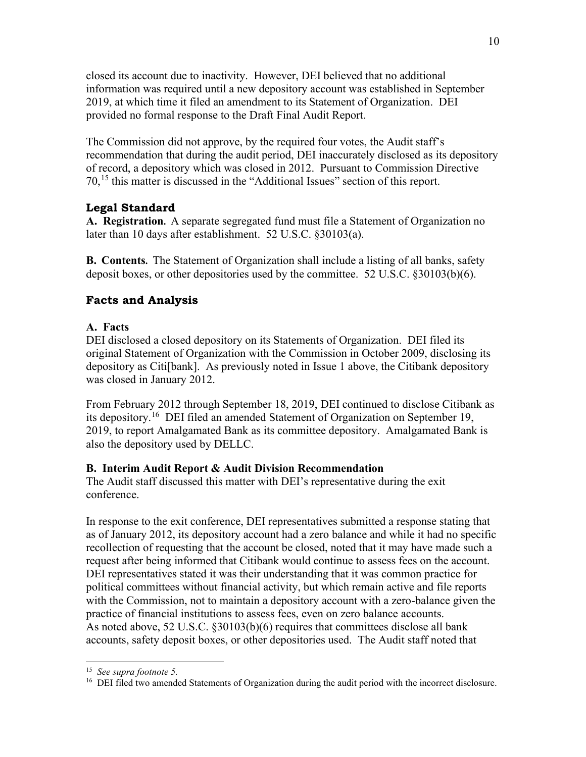closed its account due to inactivity. However, DEI believed that no additional information was required until a new depository account was established in September 2019, at which time it filed an amendment to its Statement of Organization. DEI provided no formal response to the Draft Final Audit Report.

The Commission did not approve, by the required four votes, the Audit staff's recommendation that during the audit period, DEI inaccurately disclosed as its depository of record, a depository which was closed in 2012. Pursuant to Commission Directive 70,[15](#page-12-0) this matter is discussed in the "Additional Issues" section of this report.

### **Legal Standard**

**A. Registration.** A separate segregated fund must file a Statement of Organization no later than 10 days after establishment. 52 U.S.C. §30103(a).

**B. Contents.** The Statement of Organization shall include a listing of all banks, safety deposit boxes, or other depositories used by the committee. 52 U.S.C. §30103(b)(6).

### **Facts and Analysis**

### **A. Facts**

DEI disclosed a closed depository on its Statements of Organization. DEI filed its original Statement of Organization with the Commission in October 2009, disclosing its depository as Citi[bank]. As previously noted in Issue 1 above, the Citibank depository was closed in January 2012.

From February 2012 through September 18, 2019, DEI continued to disclose Citibank as its depository. [16](#page-12-1) DEI filed an amended Statement of Organization on September 19, 2019, to report Amalgamated Bank as its committee depository. Amalgamated Bank is also the depository used by DELLC.

### **B. Interim Audit Report & Audit Division Recommendation**

The Audit staff discussed this matter with DEI's representative during the exit conference.

In response to the exit conference, DEI representatives submitted a response stating that as of January 2012, its depository account had a zero balance and while it had no specific recollection of requesting that the account be closed, noted that it may have made such a request after being informed that Citibank would continue to assess fees on the account. DEI representatives stated it was their understanding that it was common practice for political committees without financial activity, but which remain active and file reports with the Commission, not to maintain a depository account with a zero-balance given the practice of financial institutions to assess fees, even on zero balance accounts. As noted above, 52 U.S.C. §30103(b)(6) requires that committees disclose all bank accounts, safety deposit boxes, or other depositories used. The Audit staff noted that

<span id="page-12-0"></span><sup>15</sup> *See supra footnote 5.*

<span id="page-12-1"></span><sup>&</sup>lt;sup>16</sup> DEI filed two amended Statements of Organization during the audit period with the incorrect disclosure.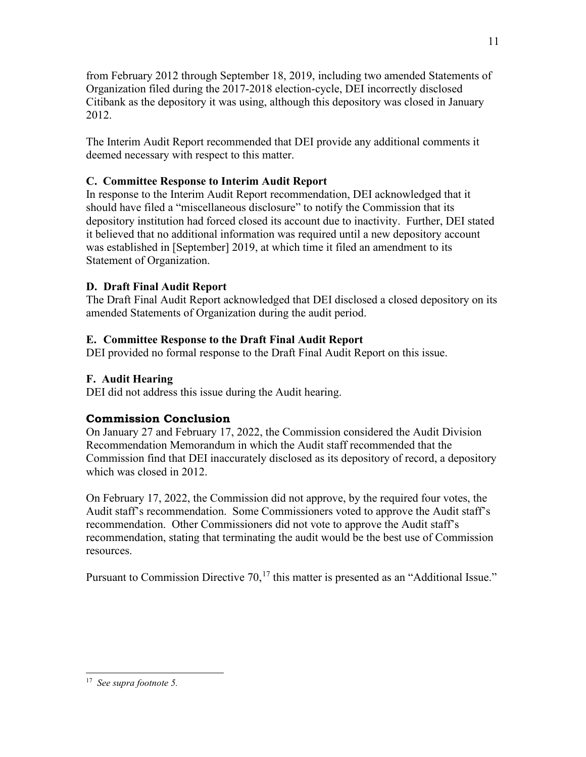from February 2012 through September 18, 2019, including two amended Statements of Organization filed during the 2017-2018 election-cycle, DEI incorrectly disclosed Citibank as the depository it was using, although this depository was closed in January 2012.

The Interim Audit Report recommended that DEI provide any additional comments it deemed necessary with respect to this matter.

### **C. Committee Response to Interim Audit Report**

In response to the Interim Audit Report recommendation, DEI acknowledged that it should have filed a "miscellaneous disclosure" to notify the Commission that its depository institution had forced closed its account due to inactivity. Further, DEI stated it believed that no additional information was required until a new depository account was established in [September] 2019, at which time it filed an amendment to its Statement of Organization.

### **D. Draft Final Audit Report**

The Draft Final Audit Report acknowledged that DEI disclosed a closed depository on its amended Statements of Organization during the audit period.

### **E. Committee Response to the Draft Final Audit Report**

DEI provided no formal response to the Draft Final Audit Report on this issue.

### **F. Audit Hearing**

DEI did not address this issue during the Audit hearing.

### **Commission Conclusion**

On January 27 and February 17, 2022, the Commission considered the Audit Division Recommendation Memorandum in which the Audit staff recommended that the Commission find that DEI inaccurately disclosed as its depository of record, a depository which was closed in 2012.

On February 17, 2022, the Commission did not approve, by the required four votes, the Audit staff's recommendation. Some Commissioners voted to approve the Audit staff's recommendation. Other Commissioners did not vote to approve the Audit staff's recommendation, stating that terminating the audit would be the best use of Commission resources.

Pursuant to Commission Directive 70,<sup>[17](#page-13-0)</sup> this matter is presented as an "Additional Issue."

<span id="page-13-0"></span><sup>17</sup> *See supra footnote 5.*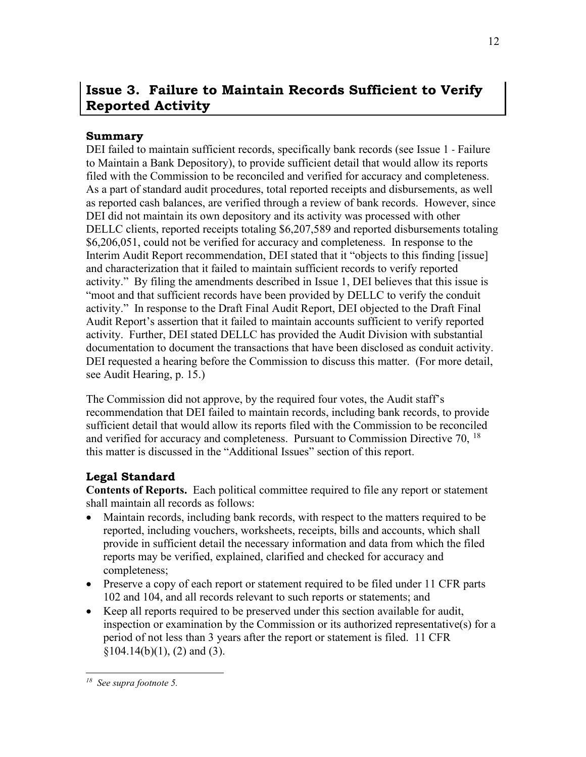# <span id="page-14-0"></span>**Issue 3. Failure to Maintain Records Sufficient to Verify Reported Activity**

### **Summary**

DEI failed to maintain sufficient records, specifically bank records (see Issue 1 - Failure to Maintain a Bank Depository), to provide sufficient detail that would allow its reports filed with the Commission to be reconciled and verified for accuracy and completeness. As a part of standard audit procedures, total reported receipts and disbursements, as well as reported cash balances, are verified through a review of bank records. However, since DEI did not maintain its own depository and its activity was processed with other DELLC clients, reported receipts totaling \$6,207,589 and reported disbursements totaling \$6,206,051, could not be verified for accuracy and completeness. In response to the Interim Audit Report recommendation, DEI stated that it "objects to this finding [issue] and characterization that it failed to maintain sufficient records to verify reported activity." By filing the amendments described in Issue 1, DEI believes that this issue is "moot and that sufficient records have been provided by DELLC to verify the conduit activity." In response to the Draft Final Audit Report, DEI objected to the Draft Final Audit Report's assertion that it failed to maintain accounts sufficient to verify reported activity. Further, DEI stated DELLC has provided the Audit Division with substantial documentation to document the transactions that have been disclosed as conduit activity. DEI requested a hearing before the Commission to discuss this matter. (For more detail, see Audit Hearing, p. 15.)

The Commission did not approve, by the required four votes, the Audit staff's recommendation that DEI failed to maintain records, including bank records, to provide sufficient detail that would allow its reports filed with the Commission to be reconciled and verified for accuracy and completeness. Pursuant to Commission Directive 70,  $^{18}$  $^{18}$  $^{18}$ this matter is discussed in the "Additional Issues" section of this report.

### **Legal Standard**

**Contents of Reports.** Each political committee required to file any report or statement shall maintain all records as follows:

- Maintain records, including bank records, with respect to the matters required to be reported, including vouchers, worksheets, receipts, bills and accounts, which shall provide in sufficient detail the necessary information and data from which the filed reports may be verified, explained, clarified and checked for accuracy and completeness;
- Preserve a copy of each report or statement required to be filed under 11 CFR parts 102 and 104, and all records relevant to such reports or statements; and
- Keep all reports required to be preserved under this section available for audit, inspection or examination by the Commission or its authorized representative(s) for a period of not less than 3 years after the report or statement is filed. 11 CFR  $§104.14(b)(1), (2)$  and (3).

<span id="page-14-1"></span>*<sup>18</sup> See supra footnote 5.*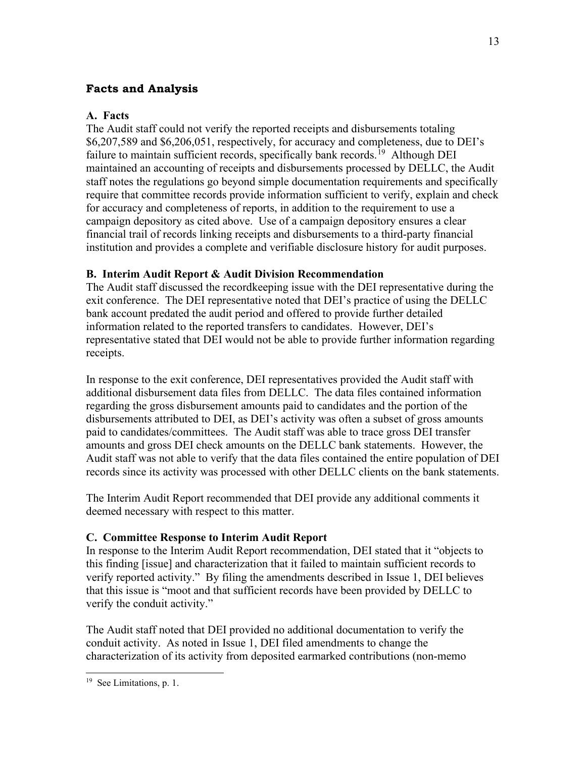### **Facts and Analysis**

#### **A. Facts**

The Audit staff could not verify the reported receipts and disbursements totaling \$6,207,589 and \$6,206,051, respectively, for accuracy and completeness, due to DEI's failure to maintain sufficient records, specifically bank records.<sup>19</sup> Although DEI maintained an accounting of receipts and disbursements processed by DELLC, the Audit staff notes the regulations go beyond simple documentation requirements and specifically require that committee records provide information sufficient to verify, explain and check for accuracy and completeness of reports, in addition to the requirement to use a campaign depository as cited above. Use of a campaign depository ensures a clear financial trail of records linking receipts and disbursements to a third-party financial institution and provides a complete and verifiable disclosure history for audit purposes.

### **B. Interim Audit Report & Audit Division Recommendation**

The Audit staff discussed the recordkeeping issue with the DEI representative during the exit conference. The DEI representative noted that DEI's practice of using the DELLC bank account predated the audit period and offered to provide further detailed information related to the reported transfers to candidates. However, DEI's representative stated that DEI would not be able to provide further information regarding receipts.

In response to the exit conference, DEI representatives provided the Audit staff with additional disbursement data files from DELLC. The data files contained information regarding the gross disbursement amounts paid to candidates and the portion of the disbursements attributed to DEI, as DEI's activity was often a subset of gross amounts paid to candidates/committees. The Audit staff was able to trace gross DEI transfer amounts and gross DEI check amounts on the DELLC bank statements. However, the Audit staff was not able to verify that the data files contained the entire population of DEI records since its activity was processed with other DELLC clients on the bank statements.

The Interim Audit Report recommended that DEI provide any additional comments it deemed necessary with respect to this matter.

#### **C. Committee Response to Interim Audit Report**

In response to the Interim Audit Report recommendation, DEI stated that it "objects to this finding [issue] and characterization that it failed to maintain sufficient records to verify reported activity." By filing the amendments described in Issue 1, DEI believes that this issue is "moot and that sufficient records have been provided by DELLC to verify the conduit activity."

The Audit staff noted that DEI provided no additional documentation to verify the conduit activity. As noted in Issue 1, DEI filed amendments to change the characterization of its activity from deposited earmarked contributions (non-memo

<span id="page-15-0"></span><sup>&</sup>lt;sup>19</sup> See Limitations, p. 1.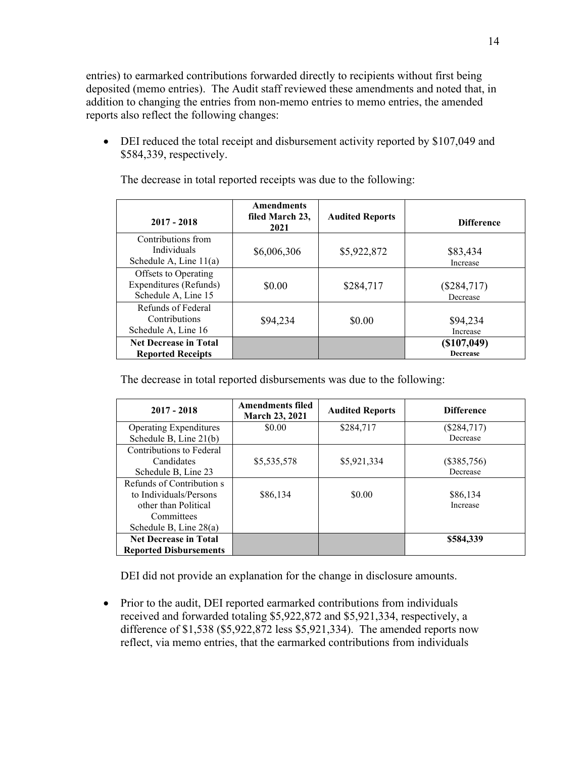entries) to earmarked contributions forwarded directly to recipients without first being deposited (memo entries). The Audit staff reviewed these amendments and noted that, in addition to changing the entries from non-memo entries to memo entries, the amended reports also reflect the following changes:

• DEI reduced the total receipt and disbursement activity reported by \$107,049 and \$584,339, respectively.

| $2017 - 2018$                                                         | <b>Amendments</b><br>filed March 23,<br>2021 | <b>Audited Reports</b> | <b>Difference</b>              |
|-----------------------------------------------------------------------|----------------------------------------------|------------------------|--------------------------------|
| Contributions from<br><b>Individuals</b><br>Schedule A, Line $11(a)$  | \$6,006,306                                  | \$5,922,872            | \$83,434<br>Increase           |
| Offsets to Operating<br>Expenditures (Refunds)<br>Schedule A, Line 15 | \$0.00                                       | \$284,717              | $(\$284,717)$<br>Decrease      |
| Refunds of Federal<br>Contributions<br>Schedule A, Line 16            | \$94,234                                     | \$0.00                 | \$94,234<br>Increase           |
| <b>Net Decrease in Total</b><br><b>Reported Receipts</b>              |                                              |                        | (\$107,049)<br><b>Decrease</b> |

The decrease in total reported receipts was due to the following:

The decrease in total reported disbursements was due to the following:

| $2017 - 2018$                 | <b>Amendments filed</b><br><b>March 23, 2021</b> | <b>Audited Reports</b> | <b>Difference</b> |
|-------------------------------|--------------------------------------------------|------------------------|-------------------|
| <b>Operating Expenditures</b> | \$0.00                                           | \$284,717              | $(\$284,717)$     |
| Schedule B, Line 21(b)        |                                                  |                        | Decrease          |
| Contributions to Federal      |                                                  |                        |                   |
| Candidates                    | \$5,535,578                                      | \$5,921,334            | $(\$385,756)$     |
| Schedule B, Line 23           |                                                  |                        | Decrease          |
| Refunds of Contribution s     |                                                  |                        |                   |
| to Individuals/Persons        | \$86,134                                         | \$0.00                 | \$86,134          |
| other than Political          |                                                  |                        | Increase          |
| Committees                    |                                                  |                        |                   |
| Schedule B, Line $28(a)$      |                                                  |                        |                   |
| <b>Net Decrease in Total</b>  |                                                  |                        | \$584,339         |
| <b>Reported Disbursements</b> |                                                  |                        |                   |

DEI did not provide an explanation for the change in disclosure amounts.

• Prior to the audit, DEI reported earmarked contributions from individuals received and forwarded totaling \$5,922,872 and \$5,921,334, respectively, a difference of \$1,538 (\$5,922,872 less \$5,921,334). The amended reports now reflect, via memo entries, that the earmarked contributions from individuals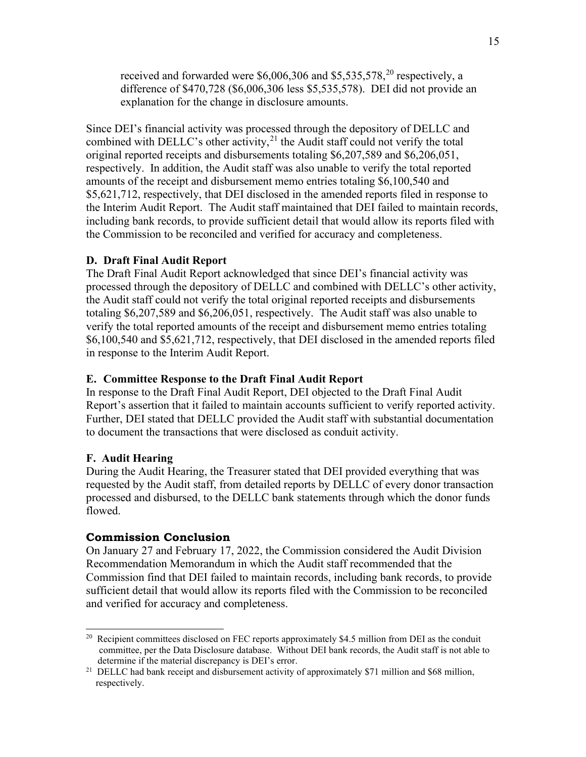received and forwarded were \$6,006,306 and \$5,535,578,<sup>[20](#page-17-0)</sup> respectively, a difference of \$470,728 (\$6,006,306 less \$5,535,578). DEI did not provide an explanation for the change in disclosure amounts.

Since DEI's financial activity was processed through the depository of DELLC and combined with DELLC's other activity, $^{21}$  $^{21}$  $^{21}$  the Audit staff could not verify the total original reported receipts and disbursements totaling \$6,207,589 and \$6,206,051, respectively. In addition, the Audit staff was also unable to verify the total reported amounts of the receipt and disbursement memo entries totaling \$6,100,540 and \$5,621,712, respectively, that DEI disclosed in the amended reports filed in response to the Interim Audit Report. The Audit staff maintained that DEI failed to maintain records, including bank records, to provide sufficient detail that would allow its reports filed with the Commission to be reconciled and verified for accuracy and completeness.

#### **D. Draft Final Audit Report**

The Draft Final Audit Report acknowledged that since DEI's financial activity was processed through the depository of DELLC and combined with DELLC's other activity, the Audit staff could not verify the total original reported receipts and disbursements totaling \$6,207,589 and \$6,206,051, respectively. The Audit staff was also unable to verify the total reported amounts of the receipt and disbursement memo entries totaling \$6,100,540 and \$5,621,712, respectively, that DEI disclosed in the amended reports filed in response to the Interim Audit Report.

#### **E. Committee Response to the Draft Final Audit Report**

In response to the Draft Final Audit Report, DEI objected to the Draft Final Audit Report's assertion that it failed to maintain accounts sufficient to verify reported activity. Further, DEI stated that DELLC provided the Audit staff with substantial documentation to document the transactions that were disclosed as conduit activity.

#### **F. Audit Hearing**

During the Audit Hearing, the Treasurer stated that DEI provided everything that was requested by the Audit staff, from detailed reports by DELLC of every donor transaction processed and disbursed, to the DELLC bank statements through which the donor funds flowed.

#### **Commission Conclusion**

On January 27 and February 17, 2022, the Commission considered the Audit Division Recommendation Memorandum in which the Audit staff recommended that the Commission find that DEI failed to maintain records, including bank records, to provide sufficient detail that would allow its reports filed with the Commission to be reconciled and verified for accuracy and completeness.

<span id="page-17-0"></span><sup>&</sup>lt;sup>20</sup> Recipient committees disclosed on FEC reports approximately \$4.5 million from DEI as the conduit committee, per the Data Disclosure database. Without DEI bank records, the Audit staff is not able to determine if the material discrepancy is DEI's error.<br><sup>21</sup> DELLC had bank receipt and disbursement activity of approximately \$71 million and \$68 million,

<span id="page-17-1"></span>respectively.